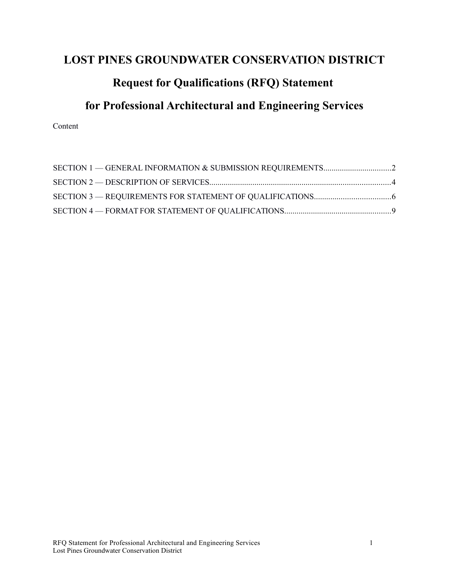# **LOST PINES GROUNDWATER CONSERVATION DISTRICT**

# **Request for Qualifications (RFQ) Statement**

# **for Professional Architectural and Engineering Services**

Content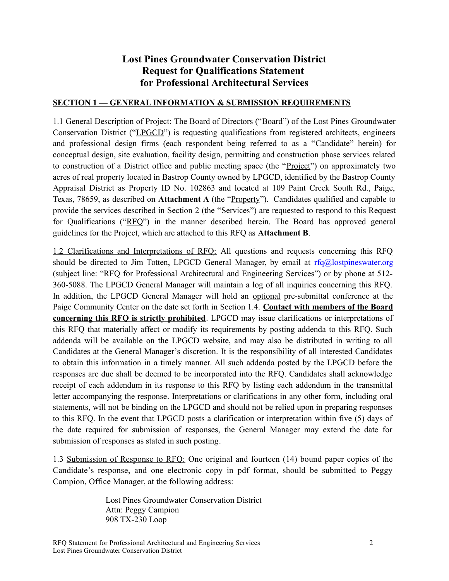# **Lost Pines Groundwater Conservation District Request for Qualifications Statement for Professional Architectural Services**

## <span id="page-1-0"></span>**SECTION 1 — GENERAL INFORMATION & SUBMISSION REQUIREMENTS**

1.1 General Description of Project: The Board of Directors ("Board") of the Lost Pines Groundwater Conservation District ("LPGCD") is requesting qualifications from registered architects, engineers and professional design firms (each respondent being referred to as a "Candidate" herein) for conceptual design, site evaluation, facility design, permitting and construction phase services related to construction of a District office and public meeting space (the "Project") on approximately two acres of real property located in Bastrop County owned by LPGCD, identified by the Bastrop County Appraisal District as Property ID No. 102863 and located at 109 Paint Creek South Rd., Paige, Texas, 78659, as described on **Attachment A** (the "Property"). Candidates qualified and capable to provide the services described in Section 2 (the "Services") are requested to respond to this Request for Qualifications ("RFQ") in the manner described herein. The Board has approved general guidelines for the Project, which are attached to this RFQ as **Attachment B**.

1.2 Clarifications and Interpretations of RFQ: All questions and requests concerning this RFQ should be directed to Jim Totten, LPGCD General Manager, by email at  $rfc@$  lostpineswater.org (subject line: "RFQ for Professional Architectural and Engineering Services") or by phone at 512- 360-5088. The LPGCD General Manager will maintain a log of all inquiries concerning this RFQ. In addition, the LPGCD General Manager will hold an optional pre-submittal conference at the Paige Community Center on the date set forth in Section 1.4. **Contact with members of the Board concerning this RFQ is strictly prohibited**. LPGCD may issue clarifications or interpretations of this RFQ that materially affect or modify its requirements by posting addenda to this RFQ. Such addenda will be available on the LPGCD website, and may also be distributed in writing to all Candidates at the General Manager's discretion. It is the responsibility of all interested Candidates to obtain this information in a timely manner. All such addenda posted by the LPGCD before the responses are due shall be deemed to be incorporated into the RFQ. Candidates shall acknowledge receipt of each addendum in its response to this RFQ by listing each addendum in the transmittal letter accompanying the response. Interpretations or clarifications in any other form, including oral statements, will not be binding on the LPGCD and should not be relied upon in preparing responses to this RFQ. In the event that LPGCD posts a clarification or interpretation within five (5) days of the date required for submission of responses, the General Manager may extend the date for submission of responses as stated in such posting.

1.3 Submission of Response to RFQ: One original and fourteen (14) bound paper copies of the Candidate's response, and one electronic copy in pdf format, should be submitted to Peggy Campion, Office Manager, at the following address:

> Lost Pines Groundwater Conservation District Attn: Peggy Campion 908 TX-230 Loop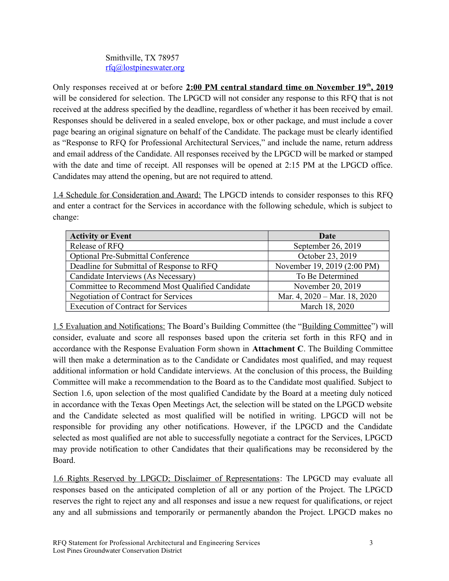# Smithville, TX 78957 [rfq@lostpineswater.org](mailto:lpgcd@lostpineswater.org)

Only responses received at or before 2:00 PM central standard time on November 19<sup>th</sup>, 2019 will be considered for selection. The LPGCD will not consider any response to this RFQ that is not received at the address specified by the deadline, regardless of whether it has been received by email. Responses should be delivered in a sealed envelope, box or other package, and must include a cover page bearing an original signature on behalf of the Candidate. The package must be clearly identified as "Response to RFQ for Professional Architectural Services," and include the name, return address and email address of the Candidate. All responses received by the LPGCD will be marked or stamped with the date and time of receipt. All responses will be opened at 2:15 PM at the LPGCD office. Candidates may attend the opening, but are not required to attend.

1.4 Schedule for Consideration and Award: The LPGCD intends to consider responses to this RFQ and enter a contract for the Services in accordance with the following schedule, which is subject to change:

| <b>Activity or Event</b>                        | Date                         |
|-------------------------------------------------|------------------------------|
| Release of RFQ                                  | September 26, 2019           |
| <b>Optional Pre-Submittal Conference</b>        | October 23, 2019             |
| Deadline for Submittal of Response to RFQ       | November 19, 2019 (2:00 PM)  |
| Candidate Interviews (As Necessary)             | To Be Determined             |
| Committee to Recommend Most Qualified Candidate | November 20, 2019            |
| Negotiation of Contract for Services            | Mar. 4, 2020 – Mar. 18, 2020 |
| <b>Execution of Contract for Services</b>       | March 18, 2020               |

1.5 Evaluation and Notifications: The Board's Building Committee (the "Building Committee") will consider, evaluate and score all responses based upon the criteria set forth in this RFQ and in accordance with the Response Evaluation Form shown in **Attachment C**. The Building Committee will then make a determination as to the Candidate or Candidates most qualified, and may request additional information or hold Candidate interviews. At the conclusion of this process, the Building Committee will make a recommendation to the Board as to the Candidate most qualified. Subject to Section 1.6, upon selection of the most qualified Candidate by the Board at a meeting duly noticed in accordance with the Texas Open Meetings Act, the selection will be stated on the LPGCD website and the Candidate selected as most qualified will be notified in writing. LPGCD will not be responsible for providing any other notifications. However, if the LPGCD and the Candidate selected as most qualified are not able to successfully negotiate a contract for the Services, LPGCD may provide notification to other Candidates that their qualifications may be reconsidered by the Board.

1.6 Rights Reserved by LPGCD; Disclaimer of Representations: The LPGCD may evaluate all responses based on the anticipated completion of all or any portion of the Project. The LPGCD reserves the right to reject any and all responses and issue a new request for qualifications, or reject any and all submissions and temporarily or permanently abandon the Project. LPGCD makes no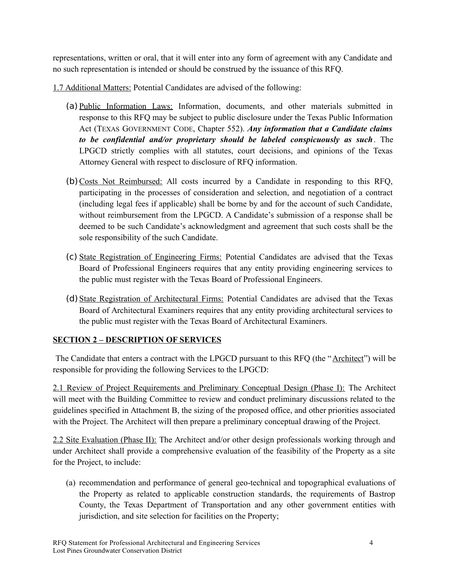representations, written or oral, that it will enter into any form of agreement with any Candidate and no such representation is intended or should be construed by the issuance of this RFQ.

1.7 Additional Matters: Potential Candidates are advised of the following:

- (a) Public Information Laws: Information, documents, and other materials submitted in response to this RFQ may be subject to public disclosure under the Texas Public Information Act (TEXAS GOVERNMENT CODE, Chapter 552). *Any information that a Candidate claims to be confidential and/or proprietary should be labeled conspicuously as such*. The LPGCD strictly complies with all statutes, court decisions, and opinions of the Texas Attorney General with respect to disclosure of RFQ information.
- (b) Costs Not Reimbursed: All costs incurred by a Candidate in responding to this RFQ, participating in the processes of consideration and selection, and negotiation of a contract (including legal fees if applicable) shall be borne by and for the account of such Candidate, without reimbursement from the LPGCD. A Candidate's submission of a response shall be deemed to be such Candidate's acknowledgment and agreement that such costs shall be the sole responsibility of the such Candidate.
- (c) State Registration of Engineering Firms: Potential Candidates are advised that the Texas Board of Professional Engineers requires that any entity providing engineering services to the public must register with the Texas Board of Professional Engineers.
- (d) State Registration of Architectural Firms: Potential Candidates are advised that the Texas Board of Architectural Examiners requires that any entity providing architectural services to the public must register with the Texas Board of Architectural Examiners.

# <span id="page-3-0"></span>**SECTION 2 – DESCRIPTION OF SERVICES**

The Candidate that enters a contract with the LPGCD pursuant to this RFQ (the "Architect") will be responsible for providing the following Services to the LPGCD:

2.1 Review of Project Requirements and Preliminary Conceptual Design (Phase I): The Architect will meet with the Building Committee to review and conduct preliminary discussions related to the guidelines specified in Attachment B, the sizing of the proposed office, and other priorities associated with the Project. The Architect will then prepare a preliminary conceptual drawing of the Project.

2.2 Site Evaluation (Phase II): The Architect and/or other design professionals working through and under Architect shall provide a comprehensive evaluation of the feasibility of the Property as a site for the Project, to include:

(a) recommendation and performance of general geo-technical and topographical evaluations of the Property as related to applicable construction standards, the requirements of Bastrop County, the Texas Department of Transportation and any other government entities with jurisdiction, and site selection for facilities on the Property;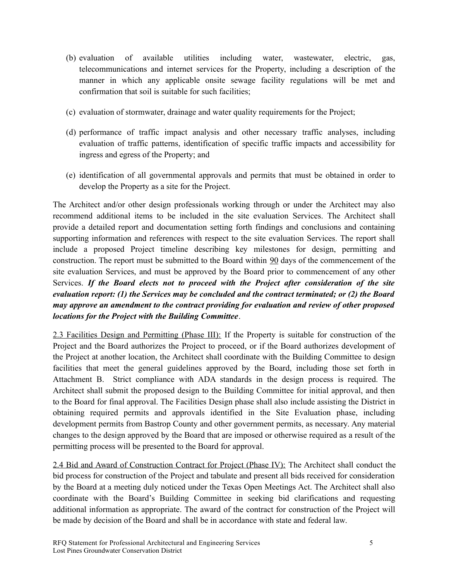- (b) evaluation of available utilities including water, wastewater, electric, gas, telecommunications and internet services for the Property, including a description of the manner in which any applicable onsite sewage facility regulations will be met and confirmation that soil is suitable for such facilities;
- (c) evaluation of stormwater, drainage and water quality requirements for the Project;
- (d) performance of traffic impact analysis and other necessary traffic analyses, including evaluation of traffic patterns, identification of specific traffic impacts and accessibility for ingress and egress of the Property; and
- (e) identification of all governmental approvals and permits that must be obtained in order to develop the Property as a site for the Project.

The Architect and/or other design professionals working through or under the Architect may also recommend additional items to be included in the site evaluation Services. The Architect shall provide a detailed report and documentation setting forth findings and conclusions and containing supporting information and references with respect to the site evaluation Services. The report shall include a proposed Project timeline describing key milestones for design, permitting and construction. The report must be submitted to the Board within 90 days of the commencement of the site evaluation Services, and must be approved by the Board prior to commencement of any other Services. *If the Board elects not to proceed with the Project after consideration of the site evaluation report: (1) the Services may be concluded and the contract terminated; or (2) the Board may approve an amendment to the contract providing for evaluation and review of other proposed locations for the Project with the Building Committee*.

2.3 Facilities Design and Permitting (Phase III): If the Property is suitable for construction of the Project and the Board authorizes the Project to proceed, or if the Board authorizes development of the Project at another location, the Architect shall coordinate with the Building Committee to design facilities that meet the general guidelines approved by the Board, including those set forth in Attachment B. Strict compliance with ADA standards in the design process is required. The Architect shall submit the proposed design to the Building Committee for initial approval, and then to the Board for final approval. The Facilities Design phase shall also include assisting the District in obtaining required permits and approvals identified in the Site Evaluation phase, including development permits from Bastrop County and other government permits, as necessary. Any material changes to the design approved by the Board that are imposed or otherwise required as a result of the permitting process will be presented to the Board for approval.

2.4 Bid and Award of Construction Contract for Project (Phase IV): The Architect shall conduct the bid process for construction of the Project and tabulate and present all bids received for consideration by the Board at a meeting duly noticed under the Texas Open Meetings Act. The Architect shall also coordinate with the Board's Building Committee in seeking bid clarifications and requesting additional information as appropriate. The award of the contract for construction of the Project will be made by decision of the Board and shall be in accordance with state and federal law.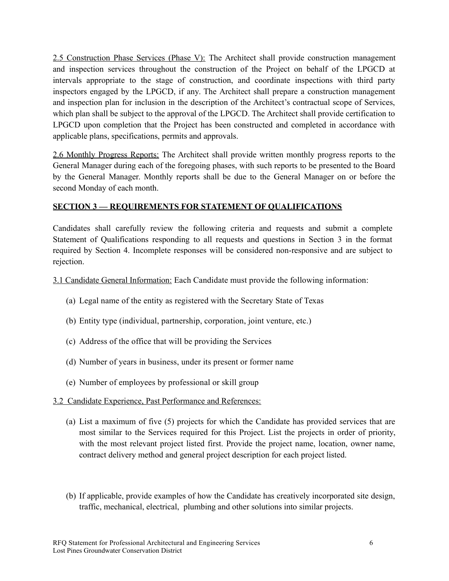2.5 Construction Phase Services (Phase V): The Architect shall provide construction management and inspection services throughout the construction of the Project on behalf of the LPGCD at intervals appropriate to the stage of construction, and coordinate inspections with third party inspectors engaged by the LPGCD, if any. The Architect shall prepare a construction management and inspection plan for inclusion in the description of the Architect's contractual scope of Services, which plan shall be subject to the approval of the LPGCD. The Architect shall provide certification to LPGCD upon completion that the Project has been constructed and completed in accordance with applicable plans, specifications, permits and approvals.

2.6 Monthly Progress Reports: The Architect shall provide written monthly progress reports to the General Manager during each of the foregoing phases, with such reports to be presented to the Board by the General Manager. Monthly reports shall be due to the General Manager on or before the second Monday of each month.

# <span id="page-5-0"></span>**SECTION 3 — REQUIREMENTS FOR STATEMENT OF QUALIFICATIONS**

Candidates shall carefully review the following criteria and requests and submit a complete Statement of Qualifications responding to all requests and questions in Section 3 in the format required by Section 4. Incomplete responses will be considered non-responsive and are subject to rejection.

3.1 Candidate General Information: Each Candidate must provide the following information:

- (a) Legal name of the entity as registered with the Secretary State of Texas
- (b) Entity type (individual, partnership, corporation, joint venture, etc.)
- (c) Address of the office that will be providing the Services
- (d) Number of years in business, under its present or former name
- (e) Number of employees by professional or skill group
- 3.2 Candidate Experience, Past Performance and References:
	- (a) List a maximum of five (5) projects for which the Candidate has provided services that are most similar to the Services required for this Project. List the projects in order of priority, with the most relevant project listed first. Provide the project name, location, owner name, contract delivery method and general project description for each project listed.
	- (b) If applicable, provide examples of how the Candidate has creatively incorporated site design, traffic, mechanical, electrical, plumbing and other solutions into similar projects.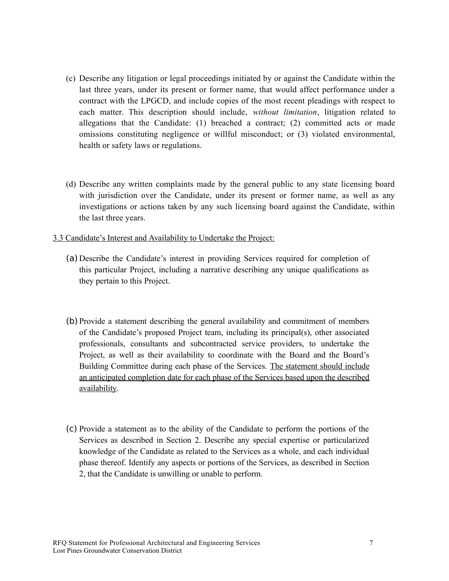- (c) Describe any litigation or legal proceedings initiated by or against the Candidate within the last three years, under its present or former name, that would affect performance under a contract with the LPGCD, and include copies of the most recent pleadings with respect to each matter. This description should include, *without limitation*, litigation related to allegations that the Candidate:  $(1)$  breached a contract;  $(2)$  committed acts or made omissions constituting negligence or willful misconduct; or (3) violated environmental, health or safety laws or regulations.
- (d) Describe any written complaints made by the general public to any state licensing board with jurisdiction over the Candidate, under its present or former name, as well as any investigations or actions taken by any such licensing board against the Candidate, within the last three years.
- 3.3 Candidate's Interest and Availability to Undertake the Project:
	- (a) Describe the Candidate's interest in providing Services required for completion of this particular Project, including a narrative describing any unique qualifications as they pertain to this Project.
	- (b) Provide a statement describing the general availability and commitment of members of the Candidate's proposed Project team, including its principal(s), other associated professionals, consultants and subcontracted service providers, to undertake the Project, as well as their availability to coordinate with the Board and the Board's Building Committee during each phase of the Services. The statement should include an anticipated completion date for each phase of the Services based upon the described availability.
	- (c) Provide a statement as to the ability of the Candidate to perform the portions of the Services as described in Section 2. Describe any special expertise or particularized knowledge of the Candidate as related to the Services as a whole, and each individual phase thereof. Identify any aspects or portions of the Services, as described in Section 2, that the Candidate is unwilling or unable to perform.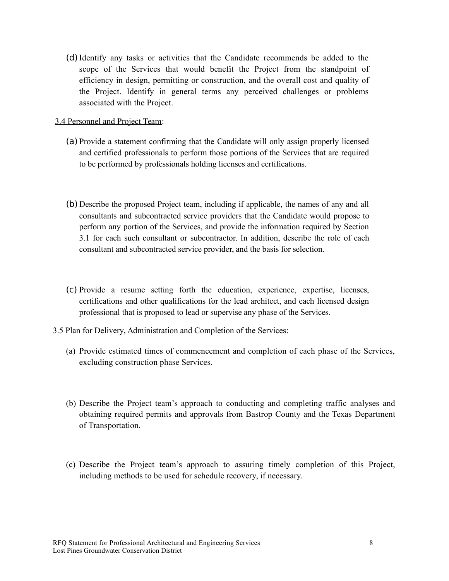(d)Identify any tasks or activities that the Candidate recommends be added to the scope of the Services that would benefit the Project from the standpoint of efficiency in design, permitting or construction, and the overall cost and quality of the Project. Identify in general terms any perceived challenges or problems associated with the Project.

## 3.4 Personnel and Project Team:

- (a) Provide a statement confirming that the Candidate will only assign properly licensed and certified professionals to perform those portions of the Services that are required to be performed by professionals holding licenses and certifications.
- (b) Describe the proposed Project team, including if applicable, the names of any and all consultants and subcontracted service providers that the Candidate would propose to perform any portion of the Services, and provide the information required by Section 3.1 for each such consultant or subcontractor. In addition, describe the role of each consultant and subcontracted service provider, and the basis for selection.
- (c) Provide a resume setting forth the education, experience, expertise, licenses, certifications and other qualifications for the lead architect, and each licensed design professional that is proposed to lead or supervise any phase of the Services.
- 3.5 Plan for Delivery, Administration and Completion of the Services:
	- (a) Provide estimated times of commencement and completion of each phase of the Services, excluding construction phase Services.
	- (b) Describe the Project team's approach to conducting and completing traffic analyses and obtaining required permits and approvals from Bastrop County and the Texas Department of Transportation.
	- (c) Describe the Project team's approach to assuring timely completion of this Project, including methods to be used for schedule recovery, if necessary.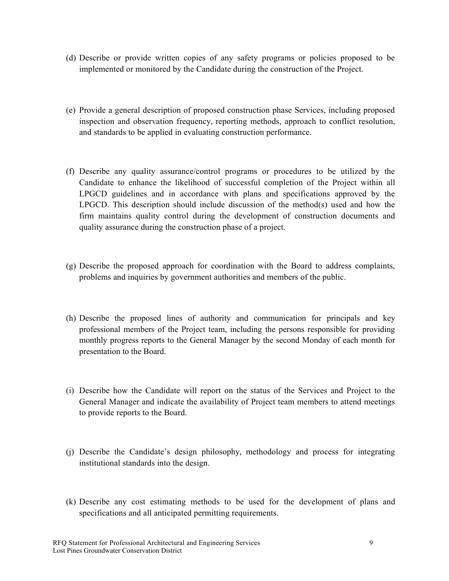- (d) Describe or provide written copies of any safety programs or policies proposed to be implemented or monitored by the Candidate during the construction of the Project.
- (e) Provide a general description of proposed construction phase Services, including proposed inspection and observation frequency, reporting methods, approach to conflict resolution, and standards to be applied in evaluating construction performance.
- (f) Describe any quality assurance/control programs or procedures to be utilized by the Candidate to enhance the likelihood of successful completion of the Project within all LPGCD guidelines and in accordance with plans and specifications approved by the LPGCD. This description should include discussion of the method(s) used and how the firm maintains quality control during the development of construction documents and quality assurance during the construction phase of a project.
- (g) Describe the proposed approach for coordination with the Board to address complaints, problems and inquiries by government authorities and members of the public.
- (h) Describe the proposed lines of authority and communication for principals and key professional members of the Project team, including the persons responsible for providing monthly progress reports to the General Manager by the second Monday of each month for presentation to the Board.
- (i) Describe how the Candidate will report on the status of the Services and Project to the General Manager and indicate the availability of Project team members to attend meetings to provide reports to the Board.
- (j) Describe the Candidate's design philosophy, methodology and process for integrating institutional standards into the design.
- (k) Describe any cost estimating methods to be used for the development of plans and specifications and all anticipated permitting requirements.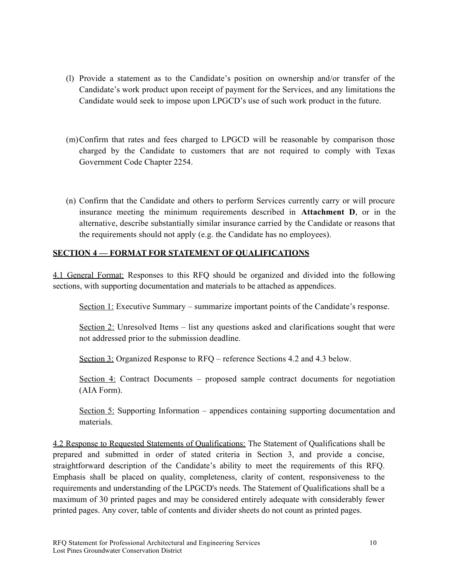- (l) Provide a statement as to the Candidate's position on ownership and/or transfer of the Candidate's work product upon receipt of payment for the Services, and any limitations the Candidate would seek to impose upon LPGCD's use of such work product in the future.
- (m)Confirm that rates and fees charged to LPGCD will be reasonable by comparison those charged by the Candidate to customers that are not required to comply with Texas Government Code Chapter 2254.
- (n) Confirm that the Candidate and others to perform Services currently carry or will procure insurance meeting the minimum requirements described in **Attachment D**, or in the alternative, describe substantially similar insurance carried by the Candidate or reasons that the requirements should not apply (e.g. the Candidate has no employees).

# <span id="page-9-0"></span>**SECTION 4 — FORMAT FOR STATEMENT OF QUALIFICATIONS**

4.1 General Format: Responses to this RFQ should be organized and divided into the following sections, with supporting documentation and materials to be attached as appendices.

Section 1: Executive Summary – summarize important points of the Candidate's response.

Section 2: Unresolved Items – list any questions asked and clarifications sought that were not addressed prior to the submission deadline.

Section 3: Organized Response to RFQ – reference Sections 4.2 and 4.3 below.

Section 4: Contract Documents – proposed sample contract documents for negotiation (AIA Form).

Section 5: Supporting Information – appendices containing supporting documentation and materials.

4.2 Response to Requested Statements of Qualifications: The Statement of Qualifications shall be prepared and submitted in order of stated criteria in Section 3, and provide a concise, straightforward description of the Candidate's ability to meet the requirements of this RFQ. Emphasis shall be placed on quality, completeness, clarity of content, responsiveness to the requirements and understanding of the LPGCD's needs. The Statement of Qualifications shall be a maximum of 30 printed pages and may be considered entirely adequate with considerably fewer printed pages. Any cover, table of contents and divider sheets do not count as printed pages.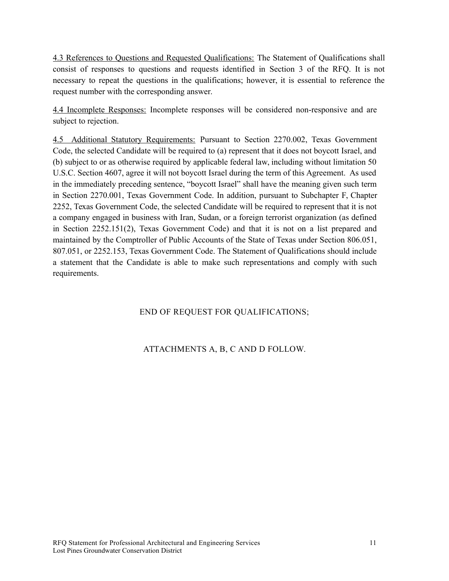4.3 References to Questions and Requested Qualifications: The Statement of Qualifications shall consist of responses to questions and requests identified in Section 3 of the RFQ. It is not necessary to repeat the questions in the qualifications; however, it is essential to reference the request number with the corresponding answer.

4.4 Incomplete Responses: Incomplete responses will be considered non-responsive and are subject to rejection.

4.5 Additional Statutory Requirements: Pursuant to Section 2270.002, Texas Government Code, the selected Candidate will be required to (a) represent that it does not boycott Israel, and (b) subject to or as otherwise required by applicable federal law, including without limitation 50 U.S.C. Section 4607, agree it will not boycott Israel during the term of this Agreement. As used in the immediately preceding sentence, "boycott Israel" shall have the meaning given such term in Section 2270.001, Texas Government Code. In addition, pursuant to Subchapter F, Chapter 2252, Texas Government Code, the selected Candidate will be required to represent that it is not a company engaged in business with Iran, Sudan, or a foreign terrorist organization (as defined in Section 2252.151(2), Texas Government Code) and that it is not on a list prepared and maintained by the Comptroller of Public Accounts of the State of Texas under Section 806.051, 807.051, or 2252.153, Texas Government Code. The Statement of Qualifications should include a statement that the Candidate is able to make such representations and comply with such requirements.

# END OF REQUEST FOR QUALIFICATIONS;

# ATTACHMENTS A, B, C AND D FOLLOW.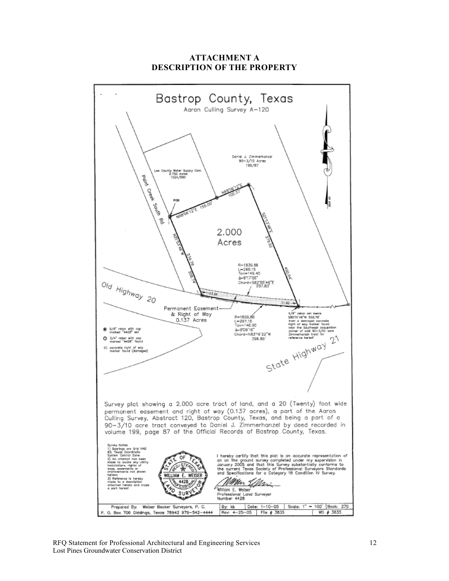

**ATTACHMENT A DESCRIPTION OF THE PROPERTY**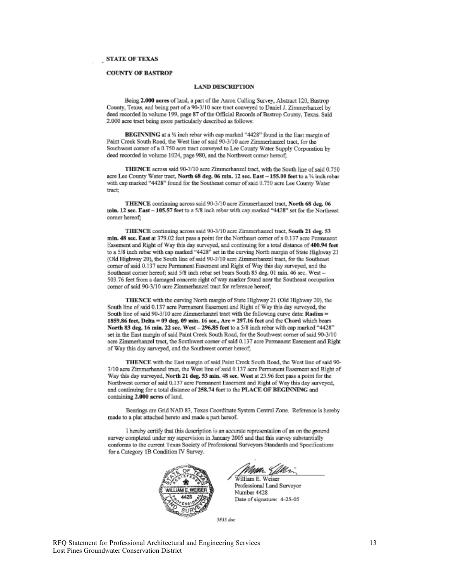#### **COUNTY OF BASTROP**

#### **LAND DESCRIPTION**

Being 2.000 acres of land, a part of the Aaron Culling Survey, Abstract 120, Bastrop County, Texas, and being part of a 90-3/10 acre tract conveyed to Daniel J. Zimmerhanzel by deed recorded in volume 199, page 87 of the Official Records of Bastrop County, Texas. Said 2.000 acre tract being more particularly described as follows:

BEGINNING at a % inch rebar with cap marked "4428" found in the East margin of Paint Creek South Road, the West line of said 90-3/10 acre Zimmerhanzel tract, for the Southwest corner of a 0.750 acre tract conveyed to Lee County Water Supply Corporation by deed recorded in volume 1024, page 980, and the Northwest corner hereof:

THENCE across said 90-3/10 acre Zimmerhanzel tract, with the South line of said 0.750 acre Lee County Water tract, North 68 deg. 06 min. 12 sec. East - 155.00 feet to a 1/4 inch rebar with cap marked "4428" found for the Southeast corner of said 0.750 acre Lee County Water tract:

THENCE continuing across said 90-3/10 acre Zimmerhanzel tract. North 68 deg. 06 min. 12 sec. East - 105.57 feet to a 5/8 inch rebar with cap marked "4428" set for the Northeast corner hereof;

THENCE continuing across said 90-3/10 acre Zimmerhanzel tract, South 21 deg. 53 min. 48 sec. East at 379.02 feet pass a point for the Northeast corner of a 0.137 acre Permanent Easement and Right of Way this day surveyed, and continuing for a total distance of 400.94 feet to a 5/8 inch rebar with cap marked "4428" set in the curving North margin of State Highway 21 (Old Highway 20), the South line of said 90-3/10 acre Zimmerhanzel tract, for the Southeast corner of said 0.137 acre Permanent Easement and Right of Way this day surveyed, and the Southeast corner hereof; said 5/8 inch rebar set bears South 85 deg. 01 min. 46 sec. West -503.76 feet from a damaged concrete right of way marker found near the Southeast occupation corner of said 90-3/10 acre Zimmerhanzel tract for reference hereof;

THENCE with the curving North margin of State Highway 21 (Old Highway 20), the South line of said 0.137 acre Permanent Easement and Right of Way this day surveyed, the South line of said 90-3/10 acre Zimmerhanzel tract with the following curve data: Radius = 1859.86 feet, Delta = 09 deg. 09 min. 16 sec., Arc = 297.16 feet and the Chord which bears North 83 deg. 16 min. 22 sec. West - 296.85 feet to a 5/8 inch rebar with cap marked "4428" set in the East margin of said Paint Creek South Road, for the Southwest corner of said 90-3/10 acre Zimmerhanzel tract, the Southwest corner of said 0.137 acre Permanent Easement and Right of Way this day surveyed, and the Southwest corner hereof;

THENCE with the East margin of said Paint Creek South Road, the West line of said 90-3/10 acre Zimmerhanzel tract, the West line of said 0.137 acre Permanent Easement and Right of Way this day surveyed, North 21 deg. 53 min. 48 sec. West at 23.96 feet pass a point for the Northwest corner of said 0.137 acre Permanent Easement and Right of Way this day surveyed, and continuing for a total distance of 258.74 feet to the PLACE OF BEGINNING and containing 2.000 acres of land.

Bearings are Grid NAD 83, Texas Coordinate System Central Zone. Reference is hereby made to a plat attached hereto and made a part hereof.

I hereby certify that this description is an accurate representation of an on the ground survey completed under my supervision in January 2005 and that this survey substantially conforms to the current Texas Society of Professional Surveyors Standards and Specifications for a Category 1B Condition IV Survey.



William E. Weiser Professional Land Surveyor Number 4428 Date of signature: 4-25-05

3835 dag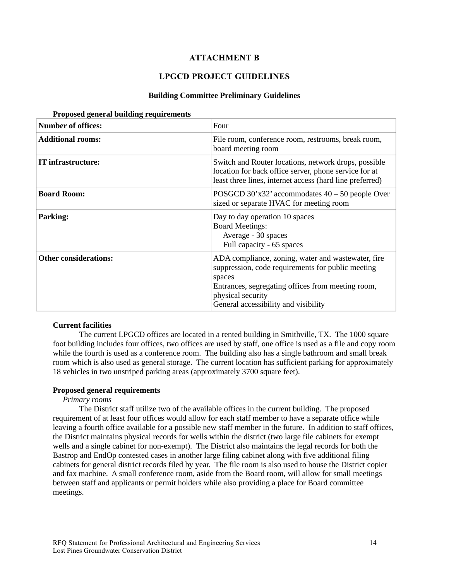## **ATTACHMENT B**

## **LPGCD PROJECT GUIDELINES**

### **Building Committee Preliminary Guidelines**

| <b>Number of offices:</b>    | Four                                                                                                                                                                                                                                |
|------------------------------|-------------------------------------------------------------------------------------------------------------------------------------------------------------------------------------------------------------------------------------|
| <b>Additional rooms:</b>     | File room, conference room, restrooms, break room,<br>board meeting room                                                                                                                                                            |
| IT infrastructure:           | Switch and Router locations, network drops, possible<br>location for back office server, phone service for at<br>least three lines, internet access (hard line preferred)                                                           |
| <b>Board Room:</b>           | POSGCD $30'x32'$ accommodates $40 - 50$ people Over<br>sized or separate HVAC for meeting room                                                                                                                                      |
| <b>Parking:</b>              | Day to day operation 10 spaces<br><b>Board Meetings:</b><br>Average - 30 spaces<br>Full capacity - 65 spaces                                                                                                                        |
| <b>Other considerations:</b> | ADA compliance, zoning, water and wastewater, fire<br>suppression, code requirements for public meeting<br>spaces<br>Entrances, segregating offices from meeting room,<br>physical security<br>General accessibility and visibility |

#### **Proposed general building requirements**

### **Current facilities**

The current LPGCD offices are located in a rented building in Smithville, TX. The 1000 square foot building includes four offices, two offices are used by staff, one office is used as a file and copy room while the fourth is used as a conference room. The building also has a single bathroom and small break room which is also used as general storage. The current location has sufficient parking for approximately 18 vehicles in two unstriped parking areas (approximately 3700 square feet).

### **Proposed general requirements**

## *Primary rooms*

The District staff utilize two of the available offices in the current building. The proposed requirement of at least four offices would allow for each staff member to have a separate office while leaving a fourth office available for a possible new staff member in the future. In addition to staff offices, the District maintains physical records for wells within the district (two large file cabinets for exempt wells and a single cabinet for non-exempt). The District also maintains the legal records for both the Bastrop and EndOp contested cases in another large filing cabinet along with five additional filing cabinets for general district records filed by year. The file room is also used to house the District copier and fax machine. A small conference room, aside from the Board room, will allow for small meetings between staff and applicants or permit holders while also providing a place for Board committee meetings.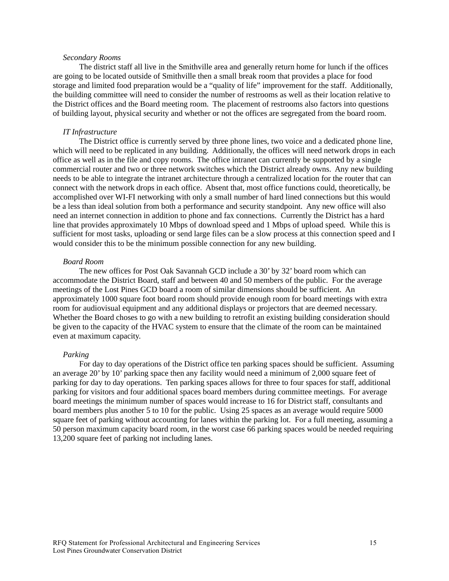#### *Secondary Rooms*

The district staff all live in the Smithville area and generally return home for lunch if the offices are going to be located outside of Smithville then a small break room that provides a place for food storage and limited food preparation would be a "quality of life" improvement for the staff. Additionally, the building committee will need to consider the number of restrooms as well as their location relative to the District offices and the Board meeting room. The placement of restrooms also factors into questions of building layout, physical security and whether or not the offices are segregated from the board room.

#### *IT Infrastructure*

The District office is currently served by three phone lines, two voice and a dedicated phone line, which will need to be replicated in any building. Additionally, the offices will need network drops in each office as well as in the file and copy rooms. The office intranet can currently be supported by a single commercial router and two or three network switches which the District already owns. Any new building needs to be able to integrate the intranet architecture through a centralized location for the router that can connect with the network drops in each office. Absent that, most office functions could, theoretically, be accomplished over WI-FI networking with only a small number of hard lined connections but this would be a less than ideal solution from both a performance and security standpoint. Any new office will also need an internet connection in addition to phone and fax connections. Currently the District has a hard line that provides approximately 10 Mbps of download speed and 1 Mbps of upload speed. While this is sufficient for most tasks, uploading or send large files can be a slow process at this connection speed and I would consider this to be the minimum possible connection for any new building.

#### *Board Room*

The new offices for Post Oak Savannah GCD include a 30' by 32' board room which can accommodate the District Board, staff and between 40 and 50 members of the public. For the average meetings of the Lost Pines GCD board a room of similar dimensions should be sufficient. An approximately 1000 square foot board room should provide enough room for board meetings with extra room for audiovisual equipment and any additional displays or projectors that are deemed necessary. Whether the Board choses to go with a new building to retrofit an existing building consideration should be given to the capacity of the HVAC system to ensure that the climate of the room can be maintained even at maximum capacity.

#### *Parking*

For day to day operations of the District office ten parking spaces should be sufficient. Assuming an average 20' by 10' parking space then any facility would need a minimum of 2,000 square feet of parking for day to day operations. Ten parking spaces allows for three to four spaces for staff, additional parking for visitors and four additional spaces board members during committee meetings. For average board meetings the minimum number of spaces would increase to 16 for District staff, consultants and board members plus another 5 to 10 for the public. Using 25 spaces as an average would require 5000 square feet of parking without accounting for lanes within the parking lot. For a full meeting, assuming a 50 person maximum capacity board room, in the worst case 66 parking spaces would be needed requiring 13,200 square feet of parking not including lanes.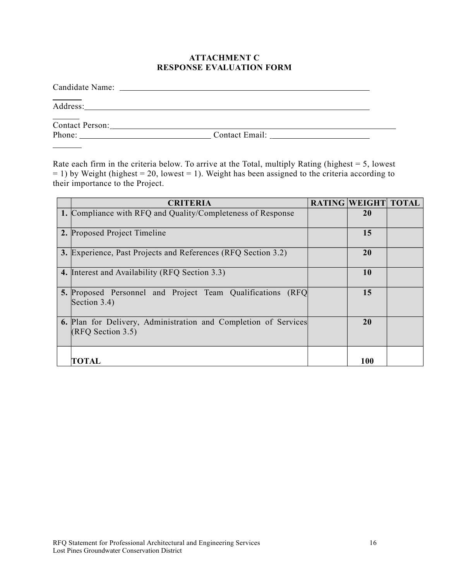## **ATTACHMENT C RESPONSE EVALUATION FORM**

| Contact Person: 2008 and 2008 and 2008 and 2008 and 2008 and 2008 and 2008 and 2008 and 2008 and 2008 and 2008 and 2008 and 2008 and 2008 and 2008 and 2008 and 2008 and 2008 and 2008 and 2008 and 2008 and 2008 and 2008 and |  |
|--------------------------------------------------------------------------------------------------------------------------------------------------------------------------------------------------------------------------------|--|
|                                                                                                                                                                                                                                |  |
|                                                                                                                                                                                                                                |  |

Rate each firm in the criteria below. To arrive at the Total, multiply Rating (highest  $= 5$ , lowest  $= 1$ ) by Weight (highest  $= 20$ , lowest  $= 1$ ). Weight has been assigned to the criteria according to their importance to the Project.

| <b>CRITERIA</b>                                                                      | <b>RATING WEIGHT TOTAL</b> |  |
|--------------------------------------------------------------------------------------|----------------------------|--|
| 1. Compliance with RFQ and Quality/Completeness of Response                          | 20                         |  |
| 2. Proposed Project Timeline                                                         | 15                         |  |
| 3. Experience, Past Projects and References (RFQ Section 3.2)                        | <b>20</b>                  |  |
| 4. Interest and Availability (RFQ Section 3.3)                                       | 10                         |  |
| <b>5.</b> Proposed Personnel and Project Team Qualifications (RFQ)<br>Section 3.4)   | 15                         |  |
| 6. Plan for Delivery, Administration and Completion of Services<br>(RFQ Section 3.5) | 20                         |  |
| TOTAL                                                                                | 100                        |  |